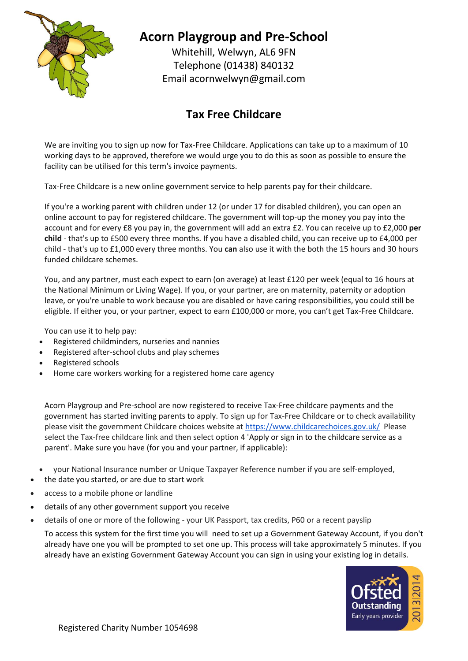

## **Acorn Playgroup and Pre-School**

Whitehill, Welwyn, AL6 9FN Telephone (01438) 840132 Email [acornwelwyn@gmail.com](mailto:acornwelwyn@gmail.com)

## **Tax Free Childcare**

We are inviting you to sign up now for Tax-Free Childcare. Applications can take up to a maximum of 10 working days to be approved, therefore we would urge you to do this as soon as possible to ensure the facility can be utilised for this term's invoice payments.

Tax-Free Childcare is a new online government service to help parents pay for their childcare.

If you're a working parent with children under 12 (or under 17 for disabled children), you can open an online account to pay for registered childcare. The government will top-up the money you pay into the account and for every £8 you pay in, the government will add an extra £2. You can receive up to £2,000 **per child** - that's up to £500 every three months. If you have a disabled child, you can receive up to £4,000 per child - that's up to £1,000 every three months. You **can** also use it with the both the 15 hours and 30 hours funded childcare schemes.

You, and any partner, must each expect to earn (on average) at least £120 per week (equal to 16 hours at the National Minimum or Living Wage). If you, or your partner, are on maternity, paternity or adoption leave, or you're unable to work because you are disabled or have caring responsibilities, you could still be eligible. If either you, or your partner, expect to earn £100,000 or more, you can't get Tax-Free Childcare.

You can use it to help pay:

- Registered childminders, nurseries and nannies
- Registered after-school clubs and play schemes
- Registered schools
- Home care workers working for a registered home care agency

Acorn Playgroup and Pre-school are now registered to receive Tax-Free childcare payments and the government has started inviting parents to apply. To sign up for Tax-Free Childcare or to check availability please visit the government Childcare choices website at <https://www.childcarechoices.gov.uk/> Please select the Tax-free childcare link and then select option 4 'Apply or sign in to the childcare service as a parent'. Make sure you have (for you and your partner, if applicable):

- your National Insurance number or Unique Taxpayer Reference number if you are self-employed,
- the date you started, or are due to start work
- access to a mobile phone or landline
- details of any other government support you receive
- details of one or more of the following your UK Passport, tax credits, P60 or a recent payslip

To access this system for the first time you will need to set up a Government Gateway Account, if you don't already have one you will be prompted to set one up. This process will take approximately 5 minutes. If you already have an existing Government Gateway Account you can sign in using your existing log in details.